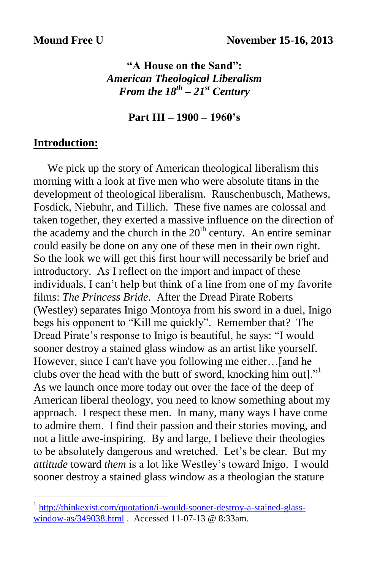## **"A House on the Sand":** *American Theological Liberalism From the 18th – 21st Century*

#### **Part III – 1900 – 1960's**

### **Introduction:**

 $\overline{a}$ 

 We pick up the story of American theological liberalism this morning with a look at five men who were absolute titans in the development of theological liberalism. Rauschenbusch, Mathews, Fosdick, Niebuhr, and Tillich. These five names are colossal and taken together, they exerted a massive influence on the direction of the academy and the church in the  $20<sup>th</sup>$  century. An entire seminar could easily be done on any one of these men in their own right. So the look we will get this first hour will necessarily be brief and introductory. As I reflect on the import and impact of these individuals, I can't help but think of a line from one of my favorite films: *The Princess Bride*. After the Dread Pirate Roberts (Westley) separates Inigo Montoya from his sword in a duel, Inigo begs his opponent to "Kill me quickly". Remember that? The Dread Pirate's response to Inigo is beautiful, he says: "I would sooner destroy a stained glass window as an artist like yourself. However, since I can't have you following me either…[and he clubs over the head with the butt of sword, knocking him out]." 1 As we launch once more today out over the face of the deep of American liberal theology, you need to know something about my approach. I respect these men. In many, many ways I have come to admire them. I find their passion and their stories moving, and not a little awe-inspiring. By and large, I believe their theologies to be absolutely dangerous and wretched. Let's be clear. But my *attitude* toward *them* is a lot like Westley's toward Inigo. I would sooner destroy a stained glass window as a theologian the stature

<sup>1</sup> [http://thinkexist.com/quotation/i-would-sooner-destroy-a-stained-glass](http://thinkexist.com/quotation/i-would-sooner-destroy-a-stained-glass-window-as/349038.html)[window-as/349038.html](http://thinkexist.com/quotation/i-would-sooner-destroy-a-stained-glass-window-as/349038.html) . Accessed 11-07-13 @ 8:33am.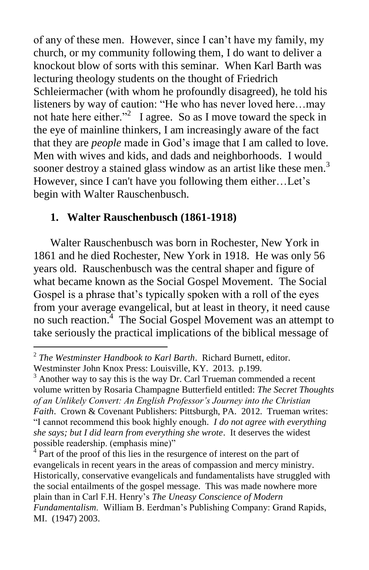of any of these men. However, since I can't have my family, my church, or my community following them, I do want to deliver a knockout blow of sorts with this seminar. When Karl Barth was lecturing theology students on the thought of Friedrich Schleiermacher (with whom he profoundly disagreed), he told his listeners by way of caution: "He who has never loved here…may not hate here either."<sup>2</sup> I agree. So as I move toward the speck in the eye of mainline thinkers, I am increasingly aware of the fact that they are *people* made in God's image that I am called to love. Men with wives and kids, and dads and neighborhoods. I would sooner destroy a stained glass window as an artist like these men.<sup>3</sup> However, since I can't have you following them either…Let's begin with Walter Rauschenbusch.

## **1. Walter Rauschenbusch (1861-1918)**

 Walter Rauschenbusch was born in Rochester, New York in 1861 and he died Rochester, New York in 1918. He was only 56 years old. Rauschenbusch was the central shaper and figure of what became known as the Social Gospel Movement. The Social Gospel is a phrase that's typically spoken with a roll of the eyes from your average evangelical, but at least in theory, it need cause no such reaction.<sup>4</sup> The Social Gospel Movement was an attempt to take seriously the practical implications of the biblical message of

 $\overline{a}$ 2 *The Westminster Handbook to Karl Barth*. Richard Burnett, editor. Westminster John Knox Press: Louisville, KY. 2013. p.199.

 $3$  Another way to say this is the way Dr. Carl Trueman commended a recent volume written by Rosaria Champagne Butterfield entitled: *The Secret Thoughts of an Unlikely Convert: An English Professor's Journey into the Christian Faith*. Crown & Covenant Publishers: Pittsburgh, PA. 2012. Trueman writes: "I cannot recommend this book highly enough*. I do not agree with everything she says; but I did learn from everything she wrote*. It deserves the widest possible readership. (emphasis mine)"

 $4$  Part of the proof of this lies in the resurgence of interest on the part of evangelicals in recent years in the areas of compassion and mercy ministry. Historically, conservative evangelicals and fundamentalists have struggled with the social entailments of the gospel message. This was made nowhere more plain than in Carl F.H. Henry's *The Uneasy Conscience of Modern Fundamentalism*. William B. Eerdman's Publishing Company: Grand Rapids, MI. (1947) 2003.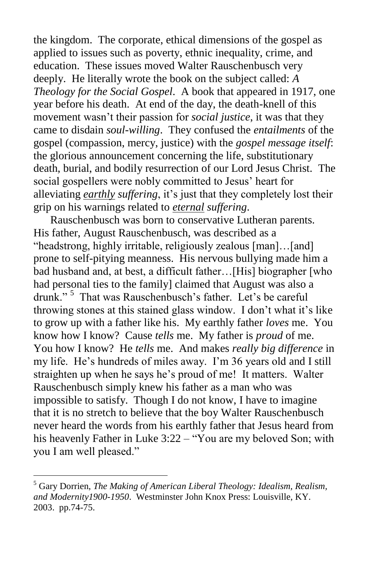the kingdom. The corporate, ethical dimensions of the gospel as applied to issues such as poverty, ethnic inequality, crime, and education. These issues moved Walter Rauschenbusch very deeply. He literally wrote the book on the subject called: *A Theology for the Social Gospel*. A book that appeared in 1917, one year before his death. At end of the day, the death-knell of this movement wasn't their passion for *social justice*, it was that they came to disdain *soul-willing*. They confused the *entailments* of the gospel (compassion, mercy, justice) with the *gospel message itself*: the glorious announcement concerning the life, substitutionary death, burial, and bodily resurrection of our Lord Jesus Christ. The social gospellers were nobly committed to Jesus' heart for alleviating *earthly suffering*, it's just that they completely lost their grip on his warnings related to *eternal suffering*.

 Rauschenbusch was born to conservative Lutheran parents. His father, August Rauschenbusch, was described as a "headstrong, highly irritable, religiously zealous [man]…[and] prone to self-pitying meanness. His nervous bullying made him a bad husband and, at best, a difficult father…[His] biographer [who had personal ties to the family] claimed that August was also a drunk." <sup>5</sup> That was Rauschenbusch's father. Let's be careful throwing stones at this stained glass window. I don't what it's like to grow up with a father like his. My earthly father *loves* me. You know how I know? Cause *tells* me. My father is *proud* of me. You how I know? He *tells* me. And makes *really big difference* in my life. He's hundreds of miles away. I'm 36 years old and I still straighten up when he says he's proud of me! It matters. Walter Rauschenbusch simply knew his father as a man who was impossible to satisfy. Though I do not know, I have to imagine that it is no stretch to believe that the boy Walter Rauschenbusch never heard the words from his earthly father that Jesus heard from his heavenly Father in Luke 3:22 – "You are my beloved Son; with you I am well pleased."

<sup>5</sup> Gary Dorrien, *The Making of American Liberal Theology: Idealism, Realism, and Modernity1900-1950*. Westminster John Knox Press: Louisville, KY. 2003. pp.74-75.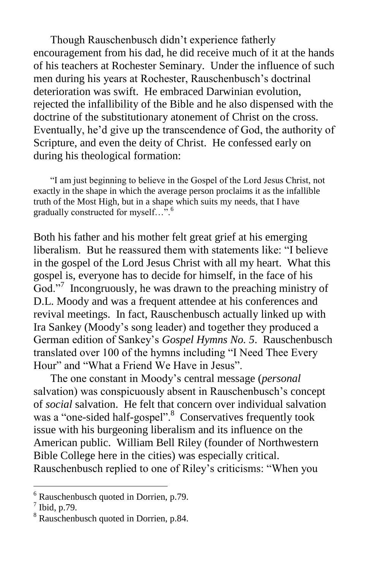Though Rauschenbusch didn't experience fatherly encouragement from his dad, he did receive much of it at the hands of his teachers at Rochester Seminary. Under the influence of such men during his years at Rochester, Rauschenbusch's doctrinal deterioration was swift. He embraced Darwinian evolution, rejected the infallibility of the Bible and he also dispensed with the doctrine of the substitutionary atonement of Christ on the cross. Eventually, he'd give up the transcendence of God, the authority of Scripture, and even the deity of Christ. He confessed early on during his theological formation:

 "I am just beginning to believe in the Gospel of the Lord Jesus Christ, not exactly in the shape in which the average person proclaims it as the infallible truth of the Most High, but in a shape which suits my needs, that I have gradually constructed for myself...".<sup>6</sup>

Both his father and his mother felt great grief at his emerging liberalism. But he reassured them with statements like: "I believe in the gospel of the Lord Jesus Christ with all my heart. What this gospel is, everyone has to decide for himself, in the face of his God."<sup>7</sup> Incongruously, he was drawn to the preaching ministry of D.L. Moody and was a frequent attendee at his conferences and revival meetings. In fact, Rauschenbusch actually linked up with Ira Sankey (Moody's song leader) and together they produced a German edition of Sankey's *Gospel Hymns No. 5*. Rauschenbusch translated over 100 of the hymns including "I Need Thee Every Hour" and "What a Friend We Have in Jesus".

 The one constant in Moody's central message (*personal* salvation) was conspicuously absent in Rauschenbusch's concept of *social* salvation. He felt that concern over individual salvation was a "one-sided half-gospel".<sup>8</sup> Conservatives frequently took issue with his burgeoning liberalism and its influence on the American public. William Bell Riley (founder of Northwestern Bible College here in the cities) was especially critical. Rauschenbusch replied to one of Riley's criticisms: "When you

 $6$  Rauschenbusch quoted in Dorrien, p.79.

 $<sup>7</sup>$  Ibid, p.79.</sup>

<sup>&</sup>lt;sup>8</sup> Rauschenbusch quoted in Dorrien, p.84.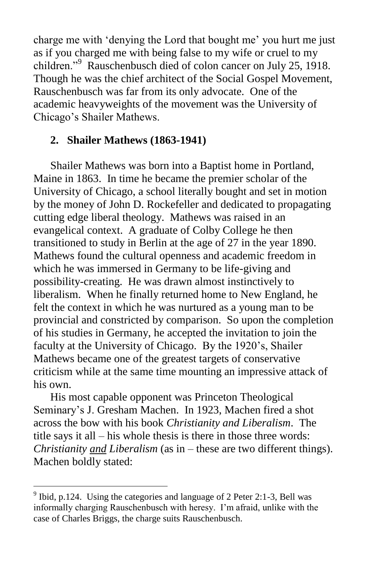charge me with 'denying the Lord that bought me' you hurt me just as if you charged me with being false to my wife or cruel to my children."<sup>9</sup> Rauschenbusch died of colon cancer on July 25, 1918. Though he was the chief architect of the Social Gospel Movement, Rauschenbusch was far from its only advocate. One of the academic heavyweights of the movement was the University of Chicago's Shailer Mathews.

# **2. Shailer Mathews (1863-1941)**

 Shailer Mathews was born into a Baptist home in Portland, Maine in 1863. In time he became the premier scholar of the University of Chicago, a school literally bought and set in motion by the money of John D. Rockefeller and dedicated to propagating cutting edge liberal theology. Mathews was raised in an evangelical context. A graduate of Colby College he then transitioned to study in Berlin at the age of 27 in the year 1890. Mathews found the cultural openness and academic freedom in which he was immersed in Germany to be life-giving and possibility-creating. He was drawn almost instinctively to liberalism. When he finally returned home to New England, he felt the context in which he was nurtured as a young man to be provincial and constricted by comparison. So upon the completion of his studies in Germany, he accepted the invitation to join the faculty at the University of Chicago. By the 1920's, Shailer Mathews became one of the greatest targets of conservative criticism while at the same time mounting an impressive attack of his own.

 His most capable opponent was Princeton Theological Seminary's J. Gresham Machen. In 1923, Machen fired a shot across the bow with his book *Christianity and Liberalism*. The title says it all – his whole thesis is there in those three words: *Christianity and Liberalism* (as in – these are two different things). Machen boldly stated:

<sup>&</sup>lt;sup>9</sup> Ibid, p.124. Using the categories and language of 2 Peter 2:1-3, Bell was informally charging Rauschenbusch with heresy. I'm afraid, unlike with the case of Charles Briggs, the charge suits Rauschenbusch.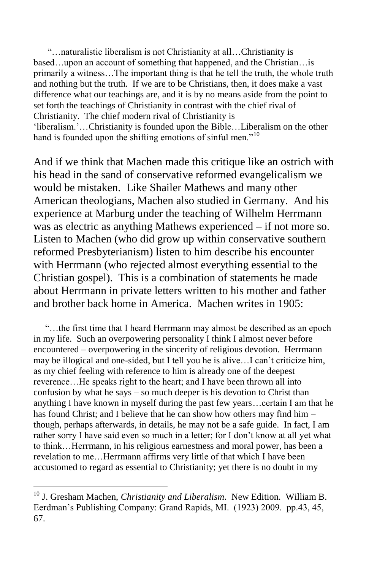"…naturalistic liberalism is not Christianity at all…Christianity is based…upon an account of something that happened, and the Christian…is primarily a witness…The important thing is that he tell the truth, the whole truth and nothing but the truth. If we are to be Christians, then, it does make a vast difference what our teachings are, and it is by no means aside from the point to set forth the teachings of Christianity in contrast with the chief rival of Christianity. The chief modern rival of Christianity is 'liberalism.'…Christianity is founded upon the Bible…Liberalism on the other hand is founded upon the shifting emotions of sinful men."<sup>10</sup>

And if we think that Machen made this critique like an ostrich with his head in the sand of conservative reformed evangelicalism we would be mistaken. Like Shailer Mathews and many other American theologians, Machen also studied in Germany. And his experience at Marburg under the teaching of Wilhelm Herrmann was as electric as anything Mathews experienced – if not more so. Listen to Machen (who did grow up within conservative southern reformed Presbyterianism) listen to him describe his encounter with Herrmann (who rejected almost everything essential to the Christian gospel). This is a combination of statements he made about Herrmann in private letters written to his mother and father and brother back home in America. Machen writes in 1905:

 "…the first time that I heard Herrmann may almost be described as an epoch in my life. Such an overpowering personality I think I almost never before encountered – overpowering in the sincerity of religious devotion. Herrmann may be illogical and one-sided, but I tell you he is alive…I can't criticize him, as my chief feeling with reference to him is already one of the deepest reverence…He speaks right to the heart; and I have been thrown all into confusion by what he says – so much deeper is his devotion to Christ than anything I have known in myself during the past few years…certain I am that he has found Christ; and I believe that he can show how others may find him – though, perhaps afterwards, in details, he may not be a safe guide. In fact, I am rather sorry I have said even so much in a letter; for I don't know at all yet what to think…Herrmann, in his religious earnestness and moral power, has been a revelation to me…Herrmann affirms very little of that which I have been accustomed to regard as essential to Christianity; yet there is no doubt in my

<sup>10</sup> J. Gresham Machen, *Christianity and Liberalism*. New Edition. William B. Eerdman's Publishing Company: Grand Rapids, MI. (1923) 2009. pp.43, 45, 67.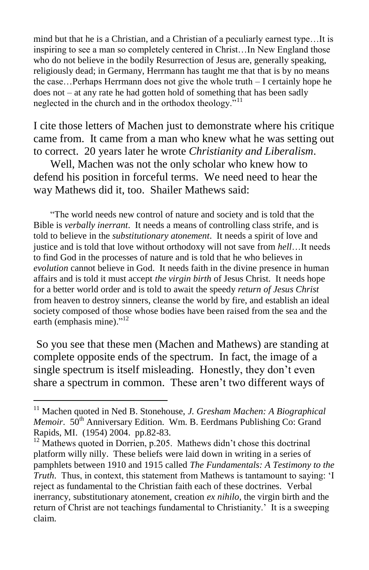mind but that he is a Christian, and a Christian of a peculiarly earnest type…It is inspiring to see a man so completely centered in Christ…In New England those who do not believe in the bodily Resurrection of Jesus are, generally speaking, religiously dead; in Germany, Herrmann has taught me that that is by no means the case…Perhaps Herrmann does not give the whole truth – I certainly hope he does not – at any rate he had gotten hold of something that has been sadly neglected in the church and in the orthodox theology."<sup>11</sup>

I cite those letters of Machen just to demonstrate where his critique came from. It came from a man who knew what he was setting out to correct. 20 years later he wrote *Christianity and Liberalism*.

 Well, Machen was not the only scholar who knew how to defend his position in forceful terms. We need need to hear the way Mathews did it, too. Shailer Mathews said:

 "The world needs new control of nature and society and is told that the Bible is *verbally inerrant*. It needs a means of controlling class strife, and is told to believe in the *substitutionary atonement*. It needs a spirit of love and justice and is told that love without orthodoxy will not save from *hell*…It needs to find God in the processes of nature and is told that he who believes in *evolution* cannot believe in God. It needs faith in the divine presence in human affairs and is told it must accept *the virgin birth* of Jesus Christ. It needs hope for a better world order and is told to await the speedy *return of Jesus Christ* from heaven to destroy sinners, cleanse the world by fire, and establish an ideal society composed of those whose bodies have been raised from the sea and the earth (emphasis mine)."<sup>12</sup>

So you see that these men (Machen and Mathews) are standing at complete opposite ends of the spectrum. In fact, the image of a single spectrum is itself misleading. Honestly, they don't even share a spectrum in common. These aren't two different ways of

<sup>11</sup> Machen quoted in Ned B. Stonehouse, *J. Gresham Machen: A Biographical Memoir.* 50<sup>th</sup> Anniversary Edition. Wm. B. Eerdmans Publishing Co: Grand Rapids, MI. (1954) 2004. pp.82-83.

 $12$  Mathews quoted in Dorrien, p.205. Mathews didn't chose this doctrinal platform willy nilly. These beliefs were laid down in writing in a series of pamphlets between 1910 and 1915 called *The Fundamentals: A Testimony to the Truth*. Thus, in context, this statement from Mathews is tantamount to saying: 'I reject as fundamental to the Christian faith each of these doctrines. Verbal inerrancy, substitutionary atonement, creation *ex nihilo*, the virgin birth and the return of Christ are not teachings fundamental to Christianity.' It is a sweeping claim.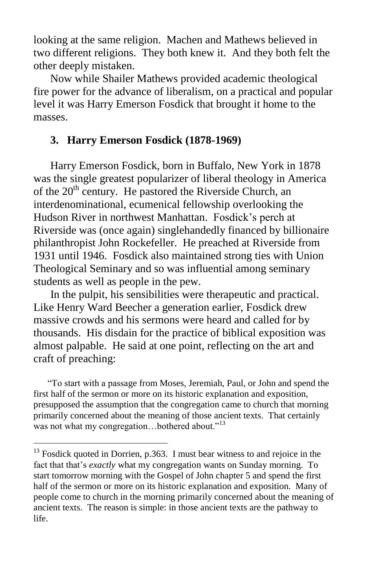looking at the same religion. Machen and Mathews believed in two different religions. They both knew it. And they both felt the other deeply mistaken.

 Now while Shailer Mathews provided academic theological fire power for the advance of liberalism, on a practical and popular level it was Harry Emerson Fosdick that brought it home to the masses.

## **3. Harry Emerson Fosdick (1878-1969)**

 Harry Emerson Fosdick, born in Buffalo, New York in 1878 was the single greatest popularizer of liberal theology in America of the 20<sup>th</sup> century. He pastored the Riverside Church, an interdenominational, ecumenical fellowship overlooking the Hudson River in northwest Manhattan. Fosdick's perch at Riverside was (once again) singlehandedly financed by billionaire philanthropist John Rockefeller. He preached at Riverside from 1931 until 1946. Fosdick also maintained strong ties with Union Theological Seminary and so was influential among seminary students as well as people in the pew.

 In the pulpit, his sensibilities were therapeutic and practical. Like Henry Ward Beecher a generation earlier, Fosdick drew massive crowds and his sermons were heard and called for by thousands. His disdain for the practice of biblical exposition was almost palpable. He said at one point, reflecting on the art and craft of preaching:

 "To start with a passage from Moses, Jeremiah, Paul, or John and spend the first half of the sermon or more on its historic explanation and exposition, presupposed the assumption that the congregation came to church that morning primarily concerned about the meaning of those ancient texts. That certainly was not what my congregation...bothered about."<sup>13</sup>

<sup>&</sup>lt;sup>13</sup> Fosdick quoted in Dorrien, p.363. I must bear witness to and rejoice in the fact that that's *exactly* what my congregation wants on Sunday morning. To start tomorrow morning with the Gospel of John chapter 5 and spend the first half of the sermon or more on its historic explanation and exposition. Many of people come to church in the morning primarily concerned about the meaning of ancient texts. The reason is simple: in those ancient texts are the pathway to life.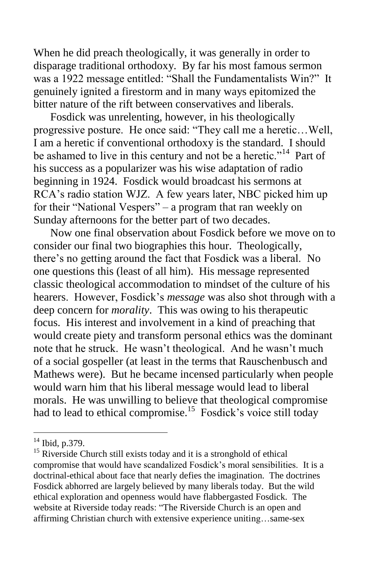When he did preach theologically, it was generally in order to disparage traditional orthodoxy. By far his most famous sermon was a 1922 message entitled: "Shall the Fundamentalists Win?" It genuinely ignited a firestorm and in many ways epitomized the bitter nature of the rift between conservatives and liberals.

 Fosdick was unrelenting, however, in his theologically progressive posture. He once said: "They call me a heretic…Well, I am a heretic if conventional orthodoxy is the standard. I should be ashamed to live in this century and not be a heretic."<sup>14</sup> Part of his success as a popularizer was his wise adaptation of radio beginning in 1924. Fosdick would broadcast his sermons at RCA's radio station WJZ. A few years later, NBC picked him up for their "National Vespers" – a program that ran weekly on Sunday afternoons for the better part of two decades.

 Now one final observation about Fosdick before we move on to consider our final two biographies this hour. Theologically, there's no getting around the fact that Fosdick was a liberal. No one questions this (least of all him). His message represented classic theological accommodation to mindset of the culture of his hearers. However, Fosdick's *message* was also shot through with a deep concern for *morality*. This was owing to his therapeutic focus. His interest and involvement in a kind of preaching that would create piety and transform personal ethics was the dominant note that he struck. He wasn't theological. And he wasn't much of a social gospeller (at least in the terms that Rauschenbusch and Mathews were). But he became incensed particularly when people would warn him that his liberal message would lead to liberal morals. He was unwilling to believe that theological compromise had to lead to ethical compromise.<sup>15</sup> Fosdick's voice still today

<sup>&</sup>lt;sup>14</sup> Ibid, p.379.

<sup>&</sup>lt;sup>15</sup> Riverside Church still exists today and it is a stronghold of ethical compromise that would have scandalized Fosdick's moral sensibilities. It is a doctrinal-ethical about face that nearly defies the imagination. The doctrines Fosdick abhorred are largely believed by many liberals today. But the wild ethical exploration and openness would have flabbergasted Fosdick. The website at Riverside today reads: "The Riverside Church is an open and affirming Christian church with extensive experience uniting…same-sex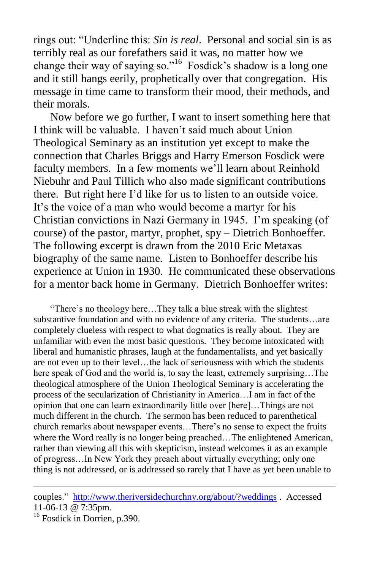rings out: "Underline this: *Sin is real*. Personal and social sin is as terribly real as our forefathers said it was, no matter how we change their way of saying so."<sup>16</sup> Fosdick's shadow is a long one and it still hangs eerily, prophetically over that congregation. His message in time came to transform their mood, their methods, and their morals.

 Now before we go further, I want to insert something here that I think will be valuable. I haven't said much about Union Theological Seminary as an institution yet except to make the connection that Charles Briggs and Harry Emerson Fosdick were faculty members. In a few moments we'll learn about Reinhold Niebuhr and Paul Tillich who also made significant contributions there. But right here I'd like for us to listen to an outside voice. It's the voice of a man who would become a martyr for his Christian convictions in Nazi Germany in 1945. I'm speaking (of course) of the pastor, martyr, prophet, spy – Dietrich Bonhoeffer. The following excerpt is drawn from the 2010 Eric Metaxas biography of the same name. Listen to Bonhoeffer describe his experience at Union in 1930. He communicated these observations for a mentor back home in Germany. Dietrich Bonhoeffer writes:

 "There's no theology here…They talk a blue streak with the slightest substantive foundation and with no evidence of any criteria. The students…are completely clueless with respect to what dogmatics is really about. They are unfamiliar with even the most basic questions. They become intoxicated with liberal and humanistic phrases, laugh at the fundamentalists, and yet basically are not even up to their level…the lack of seriousness with which the students here speak of God and the world is, to say the least, extremely surprising…The theological atmosphere of the Union Theological Seminary is accelerating the process of the secularization of Christianity in America…I am in fact of the opinion that one can learn extraordinarily little over [here]…Things are not much different in the church. The sermon has been reduced to parenthetical church remarks about newspaper events…There's no sense to expect the fruits where the Word really is no longer being preached...The enlightened American, rather than viewing all this with skepticism, instead welcomes it as an example of progress…In New York they preach about virtually everything; only one thing is not addressed, or is addressed so rarely that I have as yet been unable to

couples." <http://www.theriversidechurchny.org/about/?weddings> . Accessed 11-06-13 @ 7:35pm.

<sup>&</sup>lt;sup>16</sup> Fosdick in Dorrien, p.390.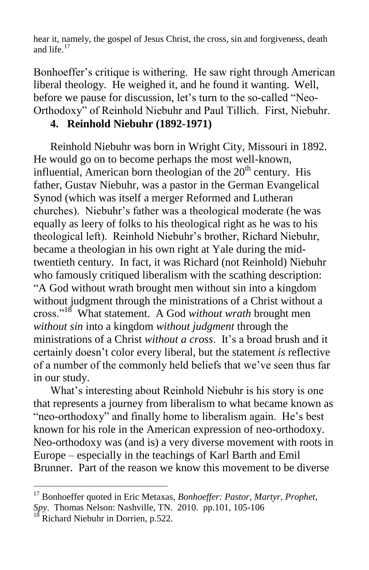hear it, namely, the gospel of Jesus Christ, the cross, sin and forgiveness, death and life. $17$ 

Bonhoeffer's critique is withering. He saw right through American liberal theology. He weighed it, and he found it wanting. Well, before we pause for discussion, let's turn to the so-called "Neo-Orthodoxy" of Reinhold Niebuhr and Paul Tillich. First, Niebuhr.

## **4. Reinhold Niebuhr (1892-1971)**

 Reinhold Niebuhr was born in Wright City, Missouri in 1892. He would go on to become perhaps the most well-known, influential, American born theologian of the  $20<sup>th</sup>$  century. His father, Gustav Niebuhr, was a pastor in the German Evangelical Synod (which was itself a merger Reformed and Lutheran churches). Niebuhr's father was a theological moderate (he was equally as leery of folks to his theological right as he was to his theological left). Reinhold Niebuhr's brother, Richard Niebuhr, became a theologian in his own right at Yale during the midtwentieth century. In fact, it was Richard (not Reinhold) Niebuhr who famously critiqued liberalism with the scathing description: "A God without wrath brought men without sin into a kingdom without judgment through the ministrations of a Christ without a cross."<sup>18</sup> What statement. A God *without wrath* brought men *without sin* into a kingdom *without judgment* through the ministrations of a Christ *without a cross*. It's a broad brush and it certainly doesn't color every liberal, but the statement *is* reflective of a number of the commonly held beliefs that we've seen thus far in our study.

 What's interesting about Reinhold Niebuhr is his story is one that represents a journey from liberalism to what became known as "neo-orthodoxy" and finally home to liberalism again. He's best known for his role in the American expression of neo-orthodoxy. Neo-orthodoxy was (and is) a very diverse movement with roots in Europe – especially in the teachings of Karl Barth and Emil Brunner. Part of the reason we know this movement to be diverse

<sup>&</sup>lt;sup>17</sup> Bonhoeffer quoted in Eric Metaxas, *Bonhoeffer: Pastor, Martyr, Prophet, Spy*. Thomas Nelson: Nashville, TN. 2010. pp.101, 105-106

 $18$  Richard Niebuhr in Dorrien, p.522.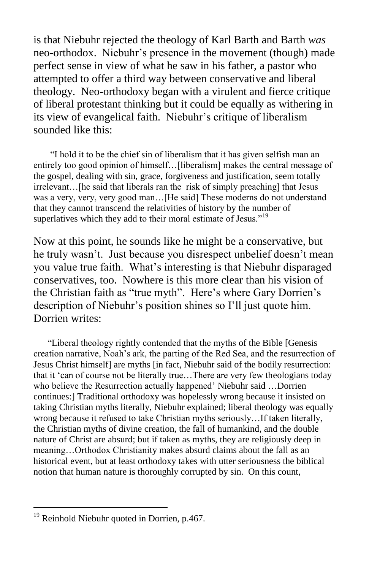is that Niebuhr rejected the theology of Karl Barth and Barth *was* neo-orthodox. Niebuhr's presence in the movement (though) made perfect sense in view of what he saw in his father, a pastor who attempted to offer a third way between conservative and liberal theology. Neo-orthodoxy began with a virulent and fierce critique of liberal protestant thinking but it could be equally as withering in its view of evangelical faith. Niebuhr's critique of liberalism sounded like this:

 "I hold it to be the chief sin of liberalism that it has given selfish man an entirely too good opinion of himself…[liberalism] makes the central message of the gospel, dealing with sin, grace, forgiveness and justification, seem totally irrelevant…[he said that liberals ran the risk of simply preaching] that Jesus was a very, very, very good man... [He said] These moderns do not understand that they cannot transcend the relativities of history by the number of superlatives which they add to their moral estimate of Jesus."<sup>19</sup>

Now at this point, he sounds like he might be a conservative, but he truly wasn't. Just because you disrespect unbelief doesn't mean you value true faith. What's interesting is that Niebuhr disparaged conservatives, too. Nowhere is this more clear than his vision of the Christian faith as "true myth". Here's where Gary Dorrien's description of Niebuhr's position shines so I'll just quote him. Dorrien writes:

 "Liberal theology rightly contended that the myths of the Bible [Genesis creation narrative, Noah's ark, the parting of the Red Sea, and the resurrection of Jesus Christ himself] are myths [in fact, Niebuhr said of the bodily resurrection: that it 'can of course not be literally true…There are very few theologians today who believe the Resurrection actually happened' Niebuhr said …Dorrien continues:] Traditional orthodoxy was hopelessly wrong because it insisted on taking Christian myths literally, Niebuhr explained; liberal theology was equally wrong because it refused to take Christian myths seriously…If taken literally, the Christian myths of divine creation, the fall of humankind, and the double nature of Christ are absurd; but if taken as myths, they are religiously deep in meaning…Orthodox Christianity makes absurd claims about the fall as an historical event, but at least orthodoxy takes with utter seriousness the biblical notion that human nature is thoroughly corrupted by sin. On this count,

<sup>&</sup>lt;sup>19</sup> Reinhold Niebuhr quoted in Dorrien, p.467.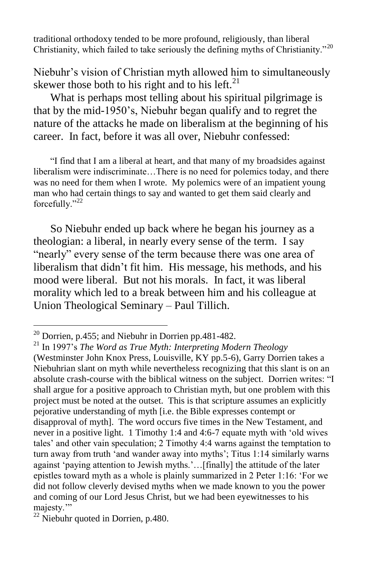traditional orthodoxy tended to be more profound, religiously, than liberal Christianity, which failed to take seriously the defining myths of Christianity."<sup>20</sup>

Niebuhr's vision of Christian myth allowed him to simultaneously skewer those both to his right and to his left. $^{21}$ 

 What is perhaps most telling about his spiritual pilgrimage is that by the mid-1950's, Niebuhr began qualify and to regret the nature of the attacks he made on liberalism at the beginning of his career. In fact, before it was all over, Niebuhr confessed:

 "I find that I am a liberal at heart, and that many of my broadsides against liberalism were indiscriminate…There is no need for polemics today, and there was no need for them when I wrote. My polemics were of an impatient young man who had certain things to say and wanted to get them said clearly and forcefully."<sup>22</sup>

 So Niebuhr ended up back where he began his journey as a theologian: a liberal, in nearly every sense of the term. I say "nearly" every sense of the term because there was one area of liberalism that didn't fit him. His message, his methods, and his mood were liberal. But not his morals. In fact, it was liberal morality which led to a break between him and his colleague at Union Theological Seminary – Paul Tillich.

 $20$  Dorrien, p.455; and Niebuhr in Dorrien pp.481-482.

<sup>21</sup> In 1997's *The Word as True Myth: Interpreting Modern Theology* (Westminster John Knox Press, Louisville, KY pp.5-6), Garry Dorrien takes a Niebuhrian slant on myth while nevertheless recognizing that this slant is on an absolute crash-course with the biblical witness on the subject. Dorrien writes: "I shall argue for a positive approach to Christian myth, but one problem with this project must be noted at the outset. This is that scripture assumes an explicitly pejorative understanding of myth [i.e. the Bible expresses contempt or disapproval of myth]. The word occurs five times in the New Testament, and never in a positive light. 1 Timothy 1:4 and 4:6-7 equate myth with 'old wives tales' and other vain speculation; 2 Timothy 4:4 warns against the temptation to turn away from truth 'and wander away into myths'; Titus 1:14 similarly warns against 'paying attention to Jewish myths.'…[finally] the attitude of the later epistles toward myth as a whole is plainly summarized in 2 Peter 1:16: 'For we did not follow cleverly devised myths when we made known to you the power and coming of our Lord Jesus Christ, but we had been eyewitnesses to his majesty."

 $22$  Niebuhr quoted in Dorrien, p.480.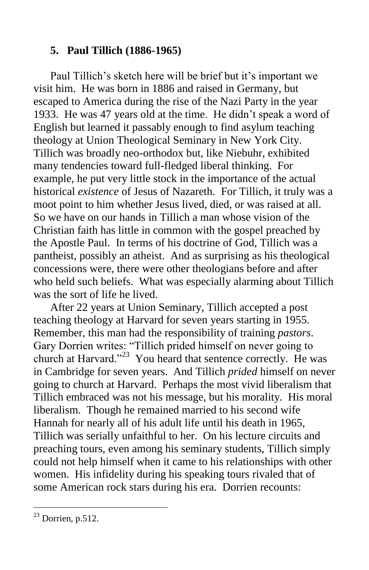# **5. Paul Tillich (1886-1965)**

 Paul Tillich's sketch here will be brief but it's important we visit him. He was born in 1886 and raised in Germany, but escaped to America during the rise of the Nazi Party in the year 1933. He was 47 years old at the time. He didn't speak a word of English but learned it passably enough to find asylum teaching theology at Union Theological Seminary in New York City. Tillich was broadly neo-orthodox but, like Niebuhr, exhibited many tendencies toward full-fledged liberal thinking. For example, he put very little stock in the importance of the actual historical *existence* of Jesus of Nazareth. For Tillich, it truly was a moot point to him whether Jesus lived, died, or was raised at all. So we have on our hands in Tillich a man whose vision of the Christian faith has little in common with the gospel preached by the Apostle Paul. In terms of his doctrine of God, Tillich was a pantheist, possibly an atheist. And as surprising as his theological concessions were, there were other theologians before and after who held such beliefs. What was especially alarming about Tillich was the sort of life he lived.

 After 22 years at Union Seminary, Tillich accepted a post teaching theology at Harvard for seven years starting in 1955. Remember, this man had the responsibility of training *pastors*. Gary Dorrien writes: "Tillich prided himself on never going to church at Harvard."<sup>23</sup> You heard that sentence correctly. He was in Cambridge for seven years. And Tillich *prided* himself on never going to church at Harvard. Perhaps the most vivid liberalism that Tillich embraced was not his message, but his morality. His moral liberalism. Though he remained married to his second wife Hannah for nearly all of his adult life until his death in 1965, Tillich was serially unfaithful to her. On his lecture circuits and preaching tours, even among his seminary students, Tillich simply could not help himself when it came to his relationships with other women. His infidelity during his speaking tours rivaled that of some American rock stars during his era. Dorrien recounts:

 $23$  Dorrien, p.512.